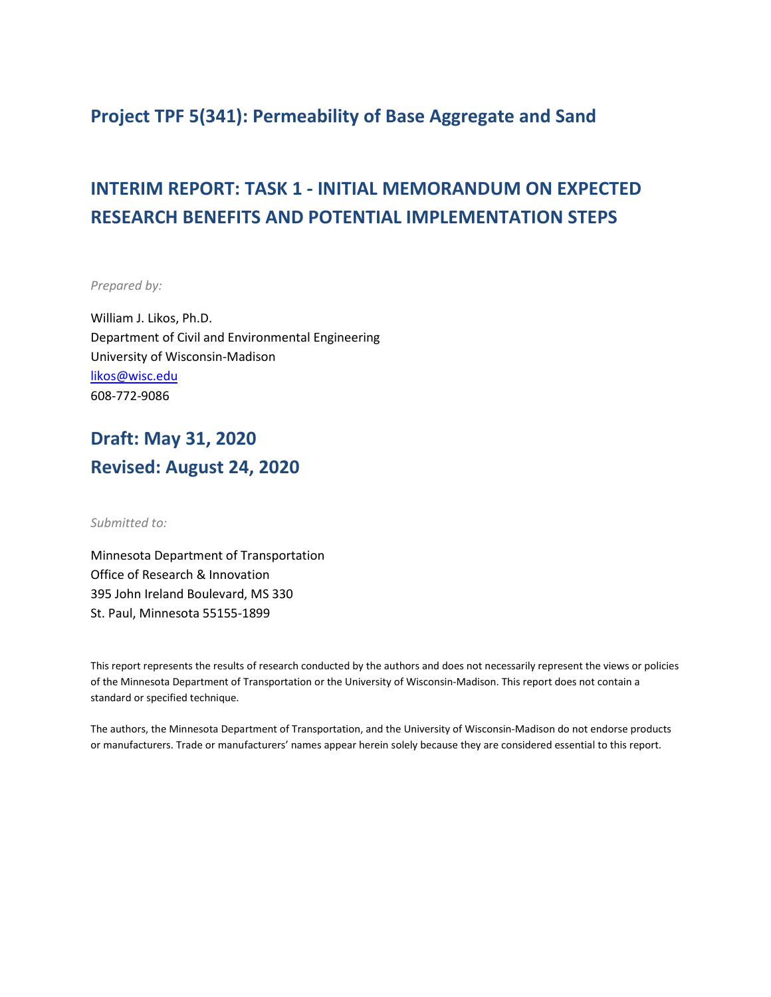### **Project TPF 5(341): Permeability of Base Aggregate and Sand**

# **INTERIM REPORT: TASK 1 - INITIAL MEMORANDUM ON EXPECTED RESEARCH BENEFITS AND POTENTIAL IMPLEMENTATION STEPS**

*Prepared by:*

William J. Likos, Ph.D. Department of Civil and Environmental Engineering University of Wisconsin-Madison [likos@wisc.edu](mailto:likos@wisc.edu) 608-772-9086

## **Draft: May 31, 2020 Revised: August 24, 2020**

*Submitted to:*

Minnesota Department of Transportation Office of Research & Innovation 395 John Ireland Boulevard, MS 330 St. Paul, Minnesota 55155-1899

This report represents the results of research conducted by the authors and does not necessarily represent the views or policies of the Minnesota Department of Transportation or the University of Wisconsin-Madison. This report does not contain a standard or specified technique.

The authors, the Minnesota Department of Transportation, and the University of Wisconsin-Madison do not endorse products or manufacturers. Trade or manufacturers' names appear herein solely because they are considered essential to this report.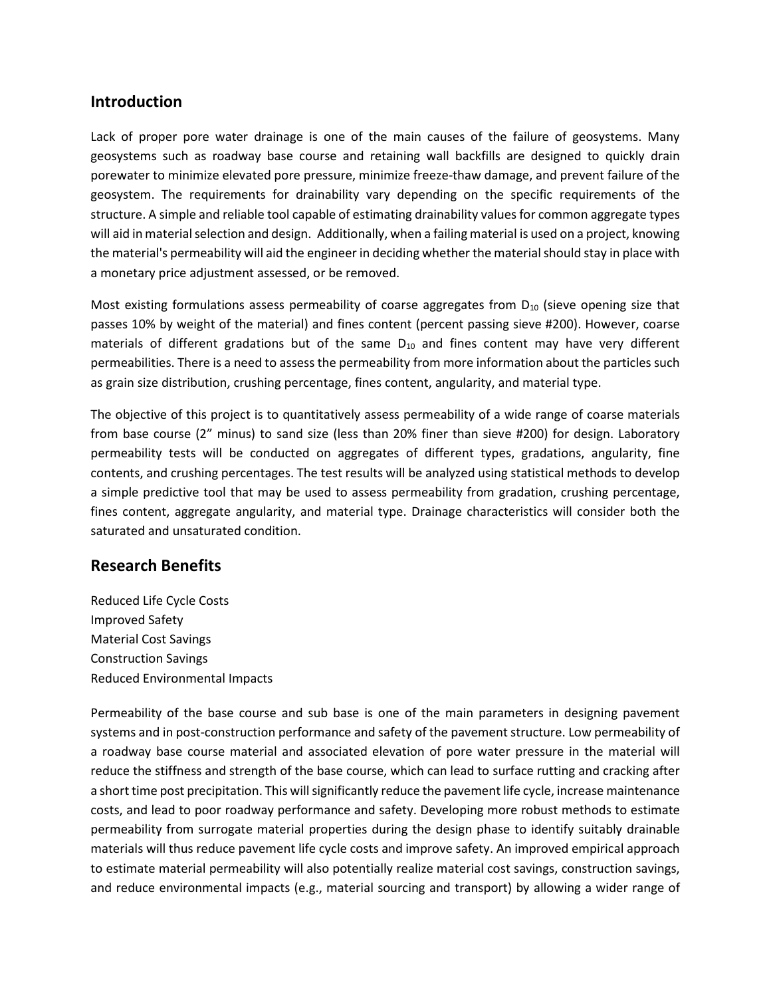#### **Introduction**

Lack of proper pore water drainage is one of the main causes of the failure of geosystems. Many geosystems such as roadway base course and retaining wall backfills are designed to quickly drain porewater to minimize elevated pore pressure, minimize freeze-thaw damage, and prevent failure of the geosystem. The requirements for drainability vary depending on the specific requirements of the structure. A simple and reliable tool capable of estimating drainability values for common aggregate types will aid in material selection and design. Additionally, when a failing material is used on a project, knowing the material's permeability will aid the engineer in deciding whether the material should stay in place with a monetary price adjustment assessed, or be removed.

Most existing formulations assess permeability of coarse aggregates from  $D_{10}$  (sieve opening size that passes 10% by weight of the material) and fines content (percent passing sieve #200). However, coarse materials of different gradations but of the same  $D_{10}$  and fines content may have very different permeabilities. There is a need to assess the permeability from more information about the particles such as grain size distribution, crushing percentage, fines content, angularity, and material type.

The objective of this project is to quantitatively assess permeability of a wide range of coarse materials from base course (2" minus) to sand size (less than 20% finer than sieve #200) for design. Laboratory permeability tests will be conducted on aggregates of different types, gradations, angularity, fine contents, and crushing percentages. The test results will be analyzed using statistical methods to develop a simple predictive tool that may be used to assess permeability from gradation, crushing percentage, fines content, aggregate angularity, and material type. Drainage characteristics will consider both the saturated and unsaturated condition.

### **Research Benefits**

Reduced Life Cycle Costs Improved Safety Material Cost Savings Construction Savings Reduced Environmental Impacts

Permeability of the base course and sub base is one of the main parameters in designing pavement systems and in post-construction performance and safety of the pavement structure. Low permeability of a roadway base course material and associated elevation of pore water pressure in the material will reduce the stiffness and strength of the base course, which can lead to surface rutting and cracking after a short time post precipitation. This will significantly reduce the pavement life cycle, increase maintenance costs, and lead to poor roadway performance and safety. Developing more robust methods to estimate permeability from surrogate material properties during the design phase to identify suitably drainable materials will thus reduce pavement life cycle costs and improve safety. An improved empirical approach to estimate material permeability will also potentially realize material cost savings, construction savings, and reduce environmental impacts (e.g., material sourcing and transport) by allowing a wider range of